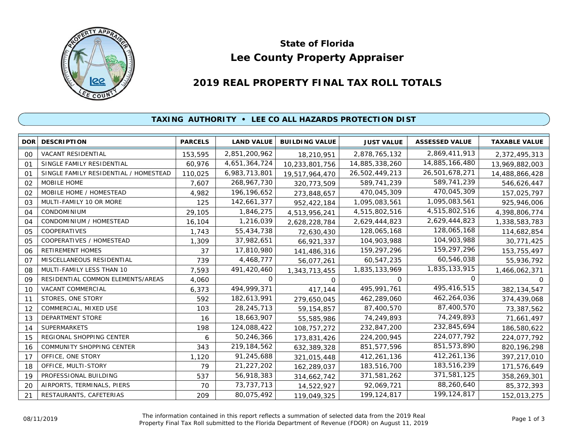

# **Lee County Property Appraiser State of Florida**

# **2019 REAL PROPERTY FINAL TAX ROLL TOTALS**

## **TAXING AUTHORITY • LEE CO ALL HAZARDS PROTECTION DIST**

| <b>DOR</b> | <b>DESCRIPTION</b>                    | <b>PARCELS</b> | <b>LAND VALUE</b> | <b>BUILDING VALUE</b> | <b>JUST VALUE</b> | <b>ASSESSED VALUE</b> | <b>TAXABLE VALUE</b> |
|------------|---------------------------------------|----------------|-------------------|-----------------------|-------------------|-----------------------|----------------------|
| 00         | VACANT RESIDENTIAL                    | 153,595        | 2,851,200,962     | 18,210,951            | 2,878,765,132     | 2,869,411,913         | 2,372,495,313        |
| 01         | SINGLE FAMILY RESIDENTIAL             | 60,976         | 4,651,364,724     | 10,233,801,756        | 14,885,338,260    | 14,885,166,480        | 13,969,882,003       |
| 01         | SINGLE FAMILY RESIDENTIAL / HOMESTEAD | 110,025        | 6,983,713,801     | 19,517,964,470        | 26,502,449,213    | 26,501,678,271        | 14,488,866,428       |
| 02         | MOBILE HOME                           | 7,607          | 268, 967, 730     | 320,773,509           | 589,741,239       | 589,741,239           | 546,626,447          |
| 02         | MOBILE HOME / HOMESTEAD               | 4,982          | 196, 196, 652     | 273,848,657           | 470,045,309       | 470,045,309           | 157,025,797          |
| 03         | MULTI-FAMILY 10 OR MORE               | 125            | 142,661,377       | 952,422,184           | 1,095,083,561     | 1,095,083,561         | 925,946,006          |
| 04         | CONDOMINIUM                           | 29,105         | 1,846,275         | 4,513,956,241         | 4,515,802,516     | 4,515,802,516         | 4,398,806,774        |
| 04         | CONDOMINIUM / HOMESTEAD               | 16,104         | 1,216,039         | 2,628,228,784         | 2,629,444,823     | 2,629,444,823         | 1,338,583,783        |
| 05         | COOPERATIVES                          | 1,743          | 55,434,738        | 72,630,430            | 128,065,168       | 128,065,168           | 114,682,854          |
| 05         | COOPERATIVES / HOMESTEAD              | 1,309          | 37,982,651        | 66,921,337            | 104,903,988       | 104,903,988           | 30,771,425           |
| 06         | RETIREMENT HOMES                      | 37             | 17,810,980        | 141,486,316           | 159,297,296       | 159,297,296           | 153,755,497          |
| 07         | MISCELLANEOUS RESIDENTIAL             | 739            | 4,468,777         | 56,077,261            | 60,547,235        | 60,546,038            | 55,936,792           |
| 08         | MULTI-FAMILY LESS THAN 10             | 7,593          | 491,420,460       | 1,343,713,455         | 1,835,133,969     | 1,835,133,915         | 1,466,062,371        |
| 09         | RESIDENTIAL COMMON ELEMENTS/AREAS     | 4,060          | 0                 | 0                     | 0                 | 0                     | 0                    |
| 10         | VACANT COMMERCIAL                     | 6,373          | 494,999,371       | 417,144               | 495,991,761       | 495,416,515           | 382,134,547          |
| 11         | STORES, ONE STORY                     | 592            | 182,613,991       | 279,650,045           | 462,289,060       | 462,264,036           | 374,439,068          |
| 12         | COMMERCIAL, MIXED USE                 | 103            | 28, 245, 713      | 59, 154, 857          | 87,400,570        | 87,400,570            | 73,387,562           |
| 13         | <b>DEPARTMENT STORE</b>               | 16             | 18,663,907        | 55,585,986            | 74,249,893        | 74,249,893            | 71,661,497           |
| 14         | <b>SUPERMARKETS</b>                   | 198            | 124,088,422       | 108,757,272           | 232,847,200       | 232,845,694           | 186,580,622          |
| 15         | REGIONAL SHOPPING CENTER              | 6              | 50,246,366        | 173,831,426           | 224,200,945       | 224,077,792           | 224,077,792          |
| 16         | COMMUNITY SHOPPING CENTER             | 343            | 219, 184, 562     | 632,389,328           | 851,577,596       | 851,573,890           | 820, 196, 298        |
| 17         | OFFICE, ONE STORY                     | 1,120          | 91,245,688        | 321,015,448           | 412,261,136       | 412,261,136           | 397,217,010          |
| 18         | OFFICE, MULTI-STORY                   | 79             | 21,227,202        | 162,289,037           | 183,516,700       | 183,516,239           | 171,576,649          |
| 19         | PROFESSIONAL BUILDING                 | 537            | 56,918,383        | 314,662,742           | 371,581,262       | 371,581,125           | 358,269,301          |
| 20         | AIRPORTS, TERMINALS, PIERS            | 70             | 73,737,713        | 14,522,927            | 92,069,721        | 88,260,640            | 85,372,393           |
| 21         | RESTAURANTS, CAFETERIAS               | 209            | 80,075,492        | 119,049,325           | 199, 124, 817     | 199,124,817           | 152,013,275          |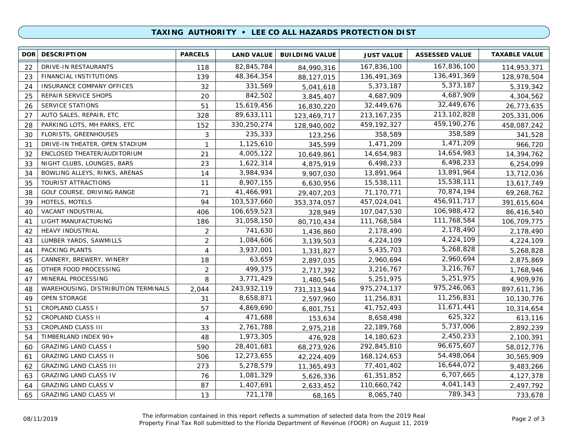### **TAXING AUTHORITY • LEE CO ALL HAZARDS PROTECTION DIST**

| <b>DOR</b> | <b>DESCRIPTION</b>                  | <b>PARCELS</b> | <b>LAND VALUE</b> | <b>BUILDING VALUE</b> | <b>JUST VALUE</b> | <b>ASSESSED VALUE</b> | <b>TAXABLE VALUE</b> |
|------------|-------------------------------------|----------------|-------------------|-----------------------|-------------------|-----------------------|----------------------|
| 22         | DRIVE-IN RESTAURANTS                | 118            | 82,845,784        | 84,990,316            | 167,836,100       | 167,836,100           | 114,953,371          |
| 23         | FINANCIAL INSTITUTIONS              | 139            | 48, 364, 354      | 88,127,015            | 136,491,369       | 136,491,369           | 128,978,504          |
| 24         | <b>INSURANCE COMPANY OFFICES</b>    | 32             | 331,569           | 5,041,618             | 5,373,187         | 5,373,187             | 5,319,342            |
| 25         | REPAIR SERVICE SHOPS                | 20             | 842,502           | 3,845,407             | 4,687,909         | 4,687,909             | 4,304,562            |
| 26         | <b>SERVICE STATIONS</b>             | 51             | 15,619,456        | 16,830,220            | 32,449,676        | 32,449,676            | 26,773,635           |
| 27         | AUTO SALES, REPAIR, ETC             | 328            | 89,633,111        | 123,469,717           | 213, 167, 235     | 213, 102, 828         | 205,331,006          |
| 28         | PARKING LOTS, MH PARKS, ETC         | 152            | 330,250,274       | 128,940,002           | 459, 192, 327     | 459,190,276           | 458,087,242          |
| 30         | <b>FLORISTS, GREENHOUSES</b>        | 3              | 235,333           | 123,256               | 358,589           | 358,589               | 341,528              |
| 31         | DRIVE-IN THEATER, OPEN STADIUM      | $\mathbf{1}$   | 1,125,610         | 345,599               | 1,471,209         | 1,471,209             | 966,720              |
| 32         | ENCLOSED THEATER/AUDITORIUM         | 21             | 4,005,122         | 10,649,861            | 14,654,983        | 14,654,983            | 14,394,762           |
| 33         | NIGHT CLUBS, LOUNGES, BARS          | 23             | 1,622,314         | 4,875,919             | 6,498,233         | 6,498,233             | 6,254,099            |
| 34         | BOWLING ALLEYS, RINKS, ARENAS       | 14             | 3,984,934         | 9,907,030             | 13,891,964        | 13,891,964            | 13,712,036           |
| 35         | TOURIST ATTRACTIONS                 | 11             | 8,907,155         | 6,630,956             | 15,538,111        | 15,538,111            | 13,617,749           |
| 38         | GOLF COURSE, DRIVING RANGE          | 71             | 41,466,991        | 29,407,203            | 71,170,771        | 70,874,194            | 69,268,762           |
| 39         | HOTELS, MOTELS                      | 94             | 103,537,660       | 353,374,057           | 457,024,041       | 456,911,717           | 391,615,604          |
| 40         | VACANT INDUSTRIAL                   | 406            | 106,659,523       | 328,949               | 107,047,530       | 106,988,472           | 86,416,540           |
| 41         | LIGHT MANUFACTURING                 | 186            | 31,058,150        | 80,710,434            | 111,768,584       | 111,768,584           | 106,709,775          |
| 42         | <b>HEAVY INDUSTRIAL</b>             | 2              | 741,630           | 1,436,860             | 2,178,490         | 2,178,490             | 2,178,490            |
| 43         | LUMBER YARDS, SAWMILLS              | $\overline{2}$ | 1,084,606         | 3,139,503             | 4,224,109         | 4,224,109             | 4,224,109            |
| 44         | PACKING PLANTS                      | 4              | 3,937,001         | 1,331,827             | 5,435,703         | 5,268,828             | 5,268,828            |
| 45         | CANNERY, BREWERY, WINERY            | 18             | 63,659            | 2,897,035             | 2,960,694         | 2,960,694             | 2,875,869            |
| 46         | OTHER FOOD PROCESSING               | $\overline{2}$ | 499,375           | 2,717,392             | 3,216,767         | 3,216,767             | 1,768,946            |
| 47         | MINERAL PROCESSING                  | 8              | 3,771,429         | 1,480,546             | 5,251,975         | 5,251,975             | 4,909,976            |
| 48         | WAREHOUSING, DISTRIBUTION TERMINALS | 2,044          | 243,932,119       | 731,313,944           | 975,274,137       | 975,246,063           | 897,611,736          |
| 49         | <b>OPEN STORAGE</b>                 | 31             | 8,658,871         | 2,597,960             | 11,256,831        | 11,256,831            | 10,130,776           |
| 51         | <b>CROPLAND CLASS I</b>             | 57             | 4,869,690         | 6,801,751             | 41,752,493        | 11,671,441            | 10,314,654           |
| 52         | CROPLAND CLASS II                   | 4              | 471,688           | 153,634               | 8,658,498         | 625,322               | 613,116              |
| 53         | CROPLAND CLASS III                  | 33             | 2,761,788         | 2,975,218             | 22,189,768        | 5,737,006             | 2,892,239            |
| 54         | TIMBERLAND INDEX 90+                | 48             | 1,973,305         | 476,928               | 14,180,623        | 2,450,233             | 2,100,391            |
| 60         | <b>GRAZING LAND CLASS I</b>         | 590            | 28,401,681        | 68,273,926            | 292,845,810       | 96,675,607            | 58,012,776           |
| 61         | <b>GRAZING LAND CLASS II</b>        | 506            | 12,273,655        | 42,224,409            | 168, 124, 653     | 54,498,064            | 30,565,909           |
| 62         | <b>GRAZING LAND CLASS III</b>       | 273            | 5,278,579         | 11,365,493            | 77,401,402        | 16,644,072            | 9,483,266            |
| 63         | <b>GRAZING LAND CLASS IV</b>        | 76             | 1,081,329         | 5,626,336             | 61,351,852        | 6,707,665             | 4,127,378            |
| 64         | <b>GRAZING LAND CLASS V</b>         | 87             | 1,407,691         | 2,633,452             | 110,660,742       | 4,041,143             | 2,497,792            |
| 65         | <b>GRAZING LAND CLASS VI</b>        | 13             | 721,178           | 68,165                | 8,065,740         | 789,343               | 733,678              |